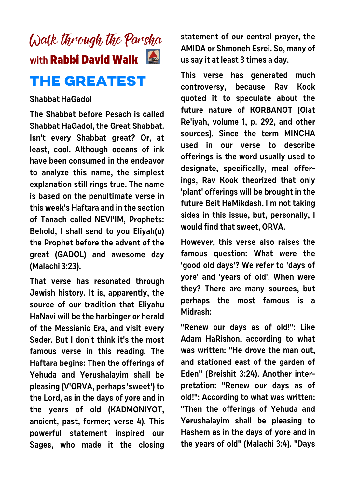

## **Shabbat HaGadol**

**The Shabbat before Pesach is called Shabbat HaGadol, the Great Shabbat. Isn't every Shabbat great? Or, at least, cool. Although oceans of ink have been consumed in the endeavor to analyze this name, the simplest explanation still rings true. The name is based on the penultimate verse in this week's Haftara and in the section of Tanach called NEVI'IM, Prophets: Behold, I shall send to you Eliyah(u) the Prophet before the advent of the great (GADOL) and awesome day (Malachi 3:23).**

**That verse has resonated through Jewish history. It is, apparently, the source of our tradition that Eliyahu HaNavi will be the harbinger or herald of the Messianic Era, and visit every Seder. But I don't think it's the most famous verse in this reading. The Haftara begins: Then the offerings of Yehuda and Yerushalayim shall be pleasing (V'ORVA, perhaps 'sweet') to the Lord, as in the days of yore and in the years of old (KADMONIYOT, ancient, past, former; verse 4). This powerful statement inspired our Sages, who made it the closing**

**statement of our central prayer, the AMIDA or Shmoneh Esrei. So, many of us say it at least 3 times a day.** 

**This verse has generated much controversy, because Rav Kook quoted it to speculate about the future nature of KORBANOT (Olat Re'iyah, volume 1, p. 292, and other sources). Since the term MINCHA used in our verse to describe offerings is the word usually used to designate, specifically, meal offerings, Rav Kook theorized that only 'plant' offerings will be brought in the future Beit HaMikdash. I'm not taking sides in this issue, but, personally, I would find that sweet, ORVA.**

**However, this verse also raises the famous question: What were the 'good old days'? We refer to 'days of yore' and 'years of old'. When were they? There are many sources, but perhaps the most famous is a Midrash:**

**"Renew our days as of old!": Like Adam HaRishon, according to what was written: "He drove the man out, and stationed east of the garden of Eden" (Breishit 3:24). Another interpretation: "Renew our days as of old!": According to what was written: "Then the offerings of Yehuda and Yerushalayim shall be pleasing to Hashem as in the days of yore and in the years of old" (Malachi 3:4). "Days**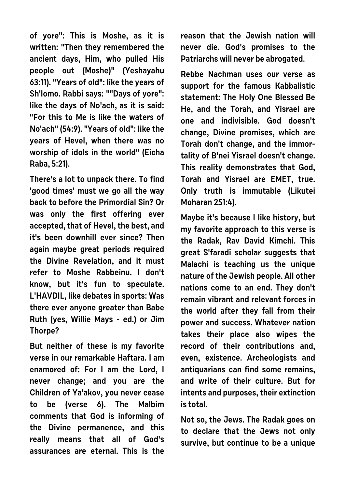**of yore": This is Moshe, as it is written: "Then they remembered the ancient days, Him, who pulled His people out (Moshe)" (Yeshayahu 63:11). "Years of old": like the years of Sh'lomo. Rabbi says: ""Days of yore": like the days of No'ach, as it is said: "For this to Me is like the waters of No'ach" (54:9). "Years of old": like the years of Hevel, when there was no worship of idols in the world" (Eicha Raba, 5:21).** 

**There's a lot to unpack there. To find 'good times' must we go all the way back to before the Primordial Sin? Or was only the first offering ever accepted, that of Hevel, the best, and it's been downhill ever since? Then again maybe great periods required the Divine Revelation, and it must refer to Moshe Rabbeinu. I don't know, but it's fun to speculate. L'HAVDIL, like debates in sports: Was there ever anyone greater than Babe Ruth (yes, Willie Mays - ed.) or Jim Thorpe?**

**But neither of these is my favorite verse in our remarkable Haftara. I am enamored of: For I am the Lord, I never change; and you are the Children of Ya'akov, you never cease to be (verse 6). The Malbim comments that God is informing of the Divine permanence, and this really means that all of God's assurances are eternal. This is the** **reason that the Jewish nation will never die. God's promises to the Patriarchs will never be abrogated.**

**Rebbe Nachman uses our verse as support for the famous Kabbalistic statement: The Holy One Blessed Be He, and the Torah, and Yisrael are one and indivisible. God doesn't change, Divine promises, which are Torah don't change, and the immortality of B'nei Yisrael doesn't change. This reality demonstrates that God, Torah and Yisrael are EMET, true. Only truth is immutable (Likutei Moharan 251:4).** 

**Maybe it's because I like history, but my favorite approach to this verse is the Radak, Rav David Kimchi. This great S'faradi scholar suggests that Malachi is teaching us the unique nature of the Jewish people. All other nations come to an end. They don't remain vibrant and relevant forces in the world after they fall from their power and success. Whatever nation takes their place also wipes the record of their contributions and, even, existence. Archeologists and antiquarians can find some remains, and write of their culture. But for intents and purposes, their extinction is total.**

**Not so, the Jews. The Radak goes on to declare that the Jews not only survive, but continue to be a unique**